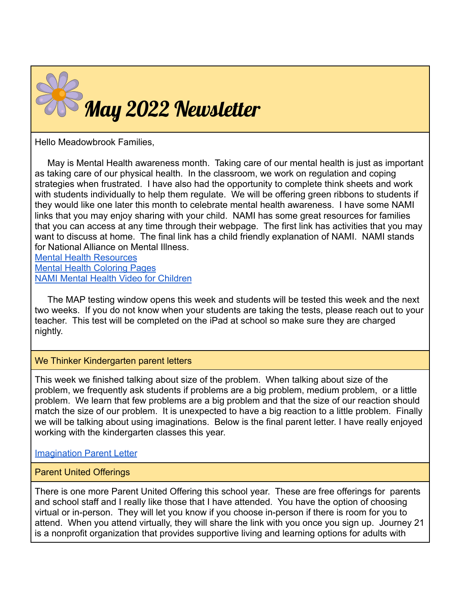

Hello Meadowbrook Families,

May is Mental Health awareness month. Taking care of our mental health is just as important as taking care of our physical health. In the classroom, we work on regulation and coping strategies when frustrated. I have also had the opportunity to complete think sheets and work with students individually to help them regulate. We will be offering green ribbons to students if they would like one later this month to celebrate mental health awareness. I have some NAMI links that you may enjoy sharing with your child. NAMI has some great resources for families that you can access at any time through their webpage. The first link has activities that you may want to discuss at home. The final link has a child friendly explanation of NAMI. NAMI stands for National Alliance on Mental Illness.

[Mental Health Resources](https://1vlihf36iej93pmxlr3a3o69-wpengine.netdna-ssl.com/wp-content/uploads/sites/218/2020/06/lets-talk-about-mental-illness-4.pdf) [Mental Health Coloring Pages](https://1vlihf36iej93pmxlr3a3o69-wpengine.netdna-ssl.com/wp-content/uploads/sites/218/2020/06/Coloring-Sheet.pdf) [NAMI Mental Health Video for Children](https://namiwisconsin.org/lets-talk-about-mental-illness/)

The MAP testing window opens this week and students will be tested this week and the next two weeks. If you do not know when your students are taking the tests, please reach out to your teacher. This test will be completed on the iPad at school so make sure they are charged nightly.

## We Thinker Kindergarten parent letters

This week we finished talking about size of the problem. When talking about size of the problem, we frequently ask students if problems are a big problem, medium problem, or a little problem. We learn that few problems are a big problem and that the size of our reaction should match the size of our problem. It is unexpected to have a big reaction to a little problem. Finally we will be talking about using imaginations. Below is the final parent letter. I have really enjoyed working with the kindergarten classes this year.

[Imagination Parent Letter](https://drive.google.com/file/d/1pO2EWpDSOO1MOy-Cv95UnK2gsFdqSsl1/view?usp=sharing)

## Parent United Offerings

There is one more Parent United Offering this school year. These are free offerings for parents and school staff and I really like those that I have attended. You have the option of choosing virtual or in-person. They will let you know if you choose in-person if there is room for you to attend. When you attend virtually, they will share the link with you once you sign up. Journey 21 is a nonprofit organization that provides supportive living and learning options for adults with